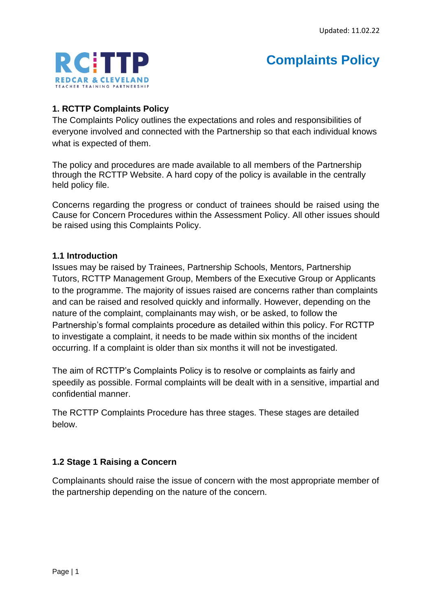

# **Complaints Policy**

## **1. RCTTP Complaints Policy**

The Complaints Policy outlines the expectations and roles and responsibilities of everyone involved and connected with the Partnership so that each individual knows what is expected of them.

The policy and procedures are made available to all members of the Partnership through the RCTTP Website. A hard copy of the policy is available in the centrally held policy file.

Concerns regarding the progress or conduct of trainees should be raised using the Cause for Concern Procedures within the Assessment Policy. All other issues should be raised using this Complaints Policy.

#### **1.1 Introduction**

Issues may be raised by Trainees, Partnership Schools, Mentors, Partnership Tutors, RCTTP Management Group, Members of the Executive Group or Applicants to the programme. The majority of issues raised are concerns rather than complaints and can be raised and resolved quickly and informally. However, depending on the nature of the complaint, complainants may wish, or be asked, to follow the Partnership's formal complaints procedure as detailed within this policy. For RCTTP to investigate a complaint, it needs to be made within six months of the incident occurring. If a complaint is older than six months it will not be investigated.

The aim of RCTTP's Complaints Policy is to resolve or complaints as fairly and speedily as possible. Formal complaints will be dealt with in a sensitive, impartial and confidential manner.

The RCTTP Complaints Procedure has three stages. These stages are detailed below.

## **1.2 Stage 1 Raising a Concern**

Complainants should raise the issue of concern with the most appropriate member of the partnership depending on the nature of the concern.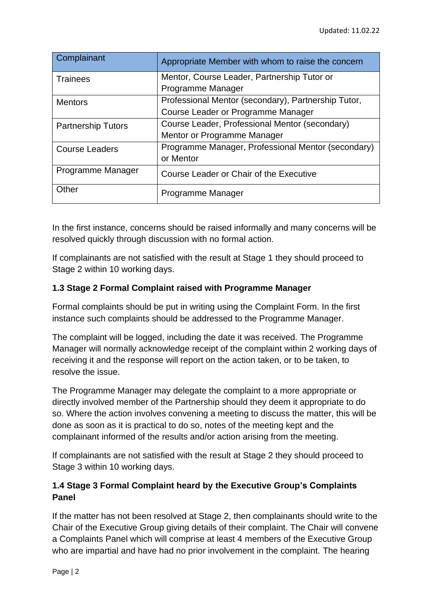| Complainant               | Appropriate Member with whom to raise the concern   |
|---------------------------|-----------------------------------------------------|
| <b>Trainees</b>           | Mentor, Course Leader, Partnership Tutor or         |
|                           | Programme Manager                                   |
| <b>Mentors</b>            | Professional Mentor (secondary), Partnership Tutor, |
|                           | Course Leader or Programme Manager                  |
| <b>Partnership Tutors</b> | Course Leader, Professional Mentor (secondary)      |
|                           | Mentor or Programme Manager                         |
| <b>Course Leaders</b>     | Programme Manager, Professional Mentor (secondary)  |
|                           | or Mentor                                           |
| Programme Manager         | Course Leader or Chair of the Executive             |
| Other                     | Programme Manager                                   |

In the first instance, concerns should be raised informally and many concerns will be resolved quickly through discussion with no formal action.

If complainants are not satisfied with the result at Stage 1 they should proceed to Stage 2 within 10 working days.

# **1.3 Stage 2 Formal Complaint raised with Programme Manager**

Formal complaints should be put in writing using the Complaint Form. In the first instance such complaints should be addressed to the Programme Manager.

The complaint will be logged, including the date it was received. The Programme Manager will normally acknowledge receipt of the complaint within 2 working days of receiving it and the response will report on the action taken, or to be taken, to resolve the issue.

The Programme Manager may delegate the complaint to a more appropriate or directly involved member of the Partnership should they deem it appropriate to do so. Where the action involves convening a meeting to discuss the matter, this will be done as soon as it is practical to do so, notes of the meeting kept and the complainant informed of the results and/or action arising from the meeting.

If complainants are not satisfied with the result at Stage 2 they should proceed to Stage 3 within 10 working days.

# **1.4 Stage 3 Formal Complaint heard by the Executive Group's Complaints Panel**

If the matter has not been resolved at Stage 2, then complainants should write to the Chair of the Executive Group giving details of their complaint. The Chair will convene a Complaints Panel which will comprise at least 4 members of the Executive Group who are impartial and have had no prior involvement in the complaint. The hearing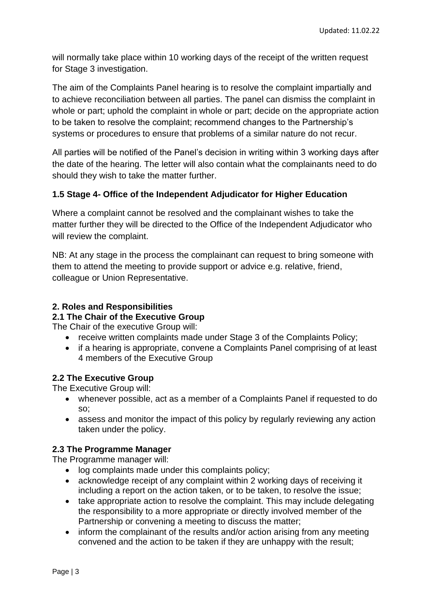will normally take place within 10 working days of the receipt of the written request for Stage 3 investigation.

The aim of the Complaints Panel hearing is to resolve the complaint impartially and to achieve reconciliation between all parties. The panel can dismiss the complaint in whole or part; uphold the complaint in whole or part; decide on the appropriate action to be taken to resolve the complaint; recommend changes to the Partnership's systems or procedures to ensure that problems of a similar nature do not recur.

All parties will be notified of the Panel's decision in writing within 3 working days after the date of the hearing. The letter will also contain what the complainants need to do should they wish to take the matter further.

## **1.5 Stage 4- Office of the Independent Adjudicator for Higher Education**

Where a complaint cannot be resolved and the complainant wishes to take the matter further they will be directed to the Office of the Independent Adjudicator who will review the complaint.

NB: At any stage in the process the complainant can request to bring someone with them to attend the meeting to provide support or advice e.g. relative, friend, colleague or Union Representative.

### **2. Roles and Responsibilities**

**2.1 The Chair of the Executive Group**

The Chair of the executive Group will:

- receive written complaints made under Stage 3 of the Complaints Policy;
- if a hearing is appropriate, convene a Complaints Panel comprising of at least 4 members of the Executive Group

## **2.2 The Executive Group**

The Executive Group will:

- whenever possible, act as a member of a Complaints Panel if requested to do so;
- assess and monitor the impact of this policy by regularly reviewing any action taken under the policy.

## **2.3 The Programme Manager**

The Programme manager will:

- log complaints made under this complaints policy;
- acknowledge receipt of any complaint within 2 working days of receiving it including a report on the action taken, or to be taken, to resolve the issue;
- take appropriate action to resolve the complaint. This may include delegating the responsibility to a more appropriate or directly involved member of the Partnership or convening a meeting to discuss the matter;
- inform the complainant of the results and/or action arising from any meeting convened and the action to be taken if they are unhappy with the result;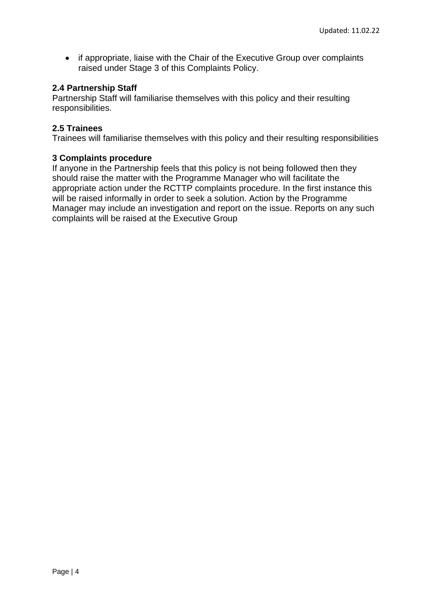• if appropriate, liaise with the Chair of the Executive Group over complaints raised under Stage 3 of this Complaints Policy.

#### **2.4 Partnership Staff**

Partnership Staff will familiarise themselves with this policy and their resulting responsibilities.

#### **2.5 Trainees**

Trainees will familiarise themselves with this policy and their resulting responsibilities

#### **3 Complaints procedure**

If anyone in the Partnership feels that this policy is not being followed then they should raise the matter with the Programme Manager who will facilitate the appropriate action under the RCTTP complaints procedure. In the first instance this will be raised informally in order to seek a solution. Action by the Programme Manager may include an investigation and report on the issue. Reports on any such complaints will be raised at the Executive Group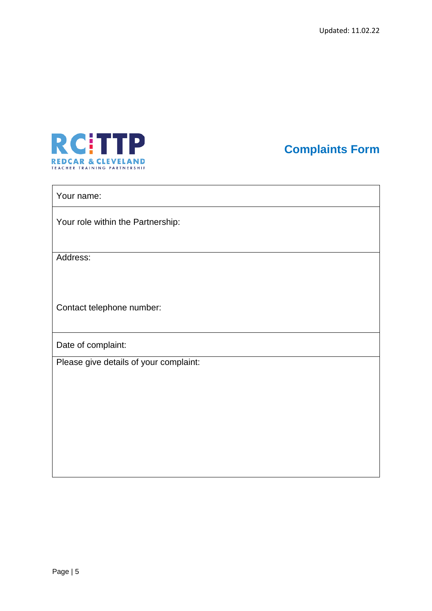

**Complaints Form**

#### Your name:

Your role within the Partnership:

Address:

Contact telephone number:

Date of complaint:

Please give details of your complaint: